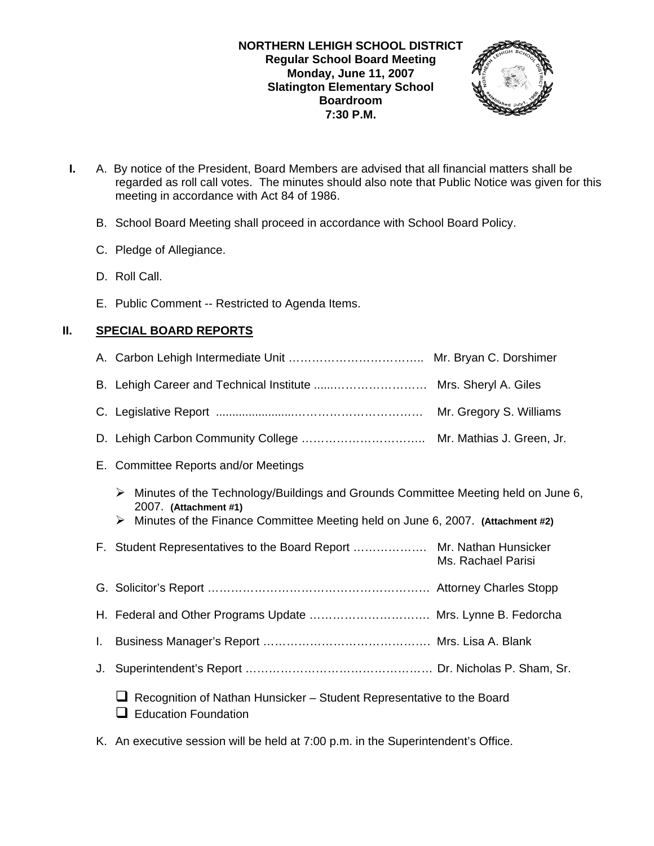

- **I.** A. By notice of the President, Board Members are advised that all financial matters shall be regarded as roll call votes. The minutes should also note that Public Notice was given for this meeting in accordance with Act 84 of 1986.
	- B. School Board Meeting shall proceed in accordance with School Board Policy.
	- C. Pledge of Allegiance.
	- D. Roll Call.
	- E. Public Comment -- Restricted to Agenda Items.

# **II. SPECIAL BOARD REPORTS**

- A. Carbon Lehigh Intermediate Unit …………………………….. Mr. Bryan C. Dorshimer
- B. Lehigh Career and Technical Institute ......…………………… Mrs. Sheryl A. Giles
- C. Legislative Report ........................…………………………… Mr. Gregory S. Williams
- D. Lehigh Carbon Community College ………………………….. Mr. Mathias J. Green, Jr.
- E. Committee Reports and/or Meetings
	- $\triangleright$  Minutes of the Technology/Buildings and Grounds Committee Meeting held on June 6, 2007. **(Attachment #1)**
	- ¾ Minutes of the Finance Committee Meeting held on June 6, 2007. **(Attachment #2)**
- F. Student Representatives to the Board Report ………………. Mr. Nathan Hunsicker Ms. Rachael Parisi
- G. Solicitor's Report ………………………………………………… Attorney Charles Stopp
- H. Federal and Other Programs Update …………………………. Mrs. Lynne B. Fedorcha
- I. Business Manager's Report ……………………………………. Mrs. Lisa A. Blank
- J. Superintendent's Report ………………………………………… Dr. Nicholas P. Sham, Sr.
	- $\Box$  Recognition of Nathan Hunsicker Student Representative to the Board  $\Box$  Education Foundation
- K. An executive session will be held at 7:00 p.m. in the Superintendent's Office.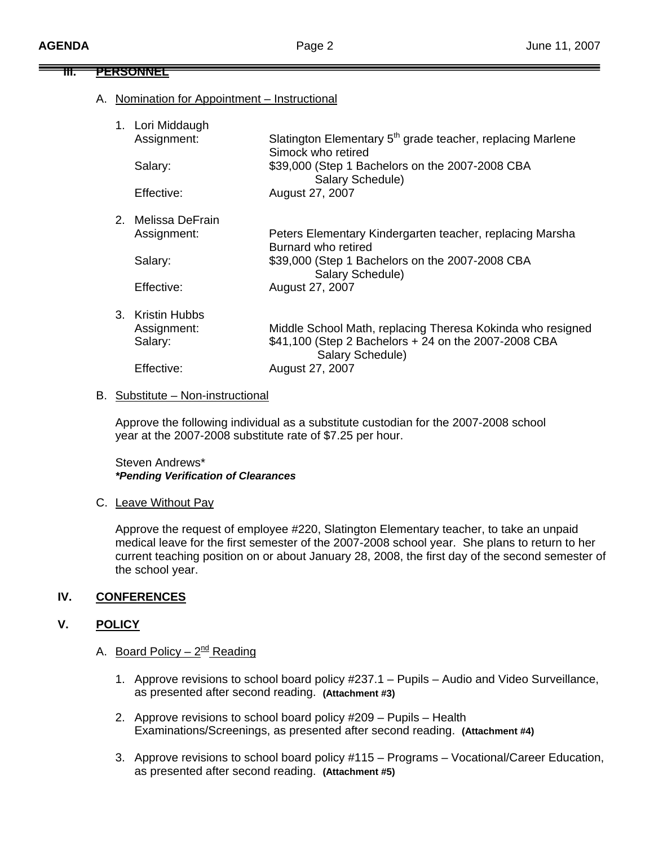# **III. PERSONNEL**

A. Nomination for Appointment – Instructional

| 1. Lori Middaugh           |                                                                                              |
|----------------------------|----------------------------------------------------------------------------------------------|
| Assignment:                | Slatington Elementary 5 <sup>th</sup> grade teacher, replacing Marlene<br>Simock who retired |
| Salary:                    | \$39,000 (Step 1 Bachelors on the 2007-2008 CBA<br>Salary Schedule)                          |
| Effective:                 | August 27, 2007                                                                              |
| 2.   Melissa DeFrain.      |                                                                                              |
| Assignment:                | Peters Elementary Kindergarten teacher, replacing Marsha<br>Burnard who retired              |
| Salary:                    | \$39,000 (Step 1 Bachelors on the 2007-2008 CBA<br>Salary Schedule)                          |
| Effective:                 | August 27, 2007                                                                              |
| 3.<br><b>Kristin Hubbs</b> |                                                                                              |
| Assignment:                | Middle School Math, replacing Theresa Kokinda who resigned                                   |
| Salary:                    | \$41,100 (Step 2 Bachelors + 24 on the 2007-2008 CBA<br>Salary Schedule)                     |
| Effective:                 | August 27, 2007                                                                              |
|                            |                                                                                              |

## B. Substitute – Non-instructional

Approve the following individual as a substitute custodian for the 2007-2008 school year at the 2007-2008 substitute rate of \$7.25 per hour.

Steven Andrews\* *\*Pending Verification of Clearances* 

## C. Leave Without Pay

 Approve the request of employee #220, Slatington Elementary teacher, to take an unpaid medical leave for the first semester of the 2007-2008 school year. She plans to return to her current teaching position on or about January 28, 2008, the first day of the second semester of the school year.

## **IV. CONFERENCES**

## **V. POLICY**

- A. Board Policy  $2^{nd}$  Reading
	- 1. Approve revisions to school board policy #237.1 Pupils Audio and Video Surveillance, as presented after second reading. **(Attachment #3)**
	- 2. Approve revisions to school board policy #209 Pupils Health Examinations/Screenings, as presented after second reading. **(Attachment #4)**
	- 3. Approve revisions to school board policy #115 Programs Vocational/Career Education, as presented after second reading. **(Attachment #5)**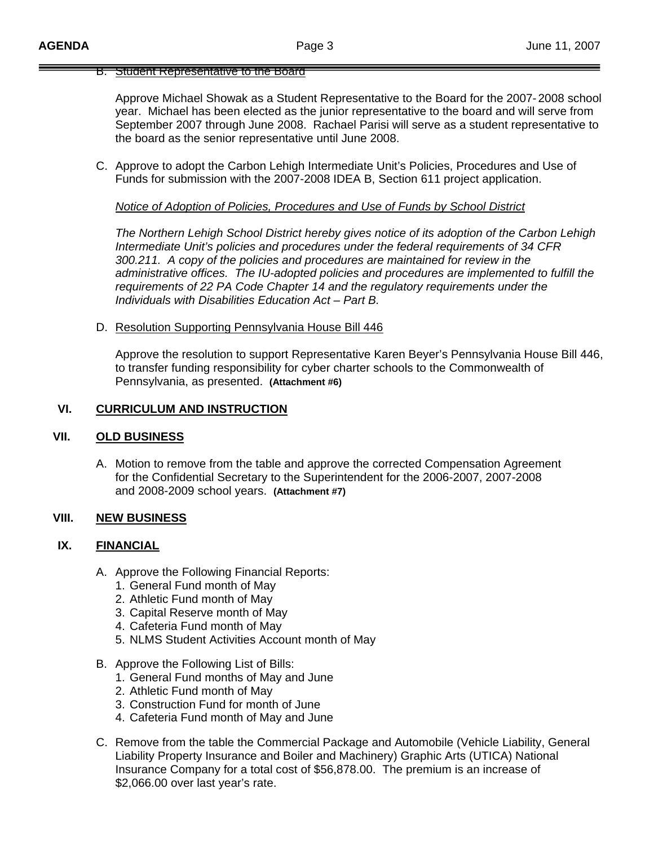#### B. Student Representative to the Board

 Approve Michael Showak as a Student Representative to the Board for the 2007- 2008 school year. Michael has been elected as the junior representative to the board and will serve from September 2007 through June 2008. Rachael Parisi will serve as a student representative to the board as the senior representative until June 2008.

C. Approve to adopt the Carbon Lehigh Intermediate Unit's Policies, Procedures and Use of Funds for submission with the 2007-2008 IDEA B, Section 611 project application.

### *Notice of Adoption of Policies, Procedures and Use of Funds by School District*

 *The Northern Lehigh School District hereby gives notice of its adoption of the Carbon Lehigh Intermediate Unit's policies and procedures under the federal requirements of 34 CFR 300.211. A copy of the policies and procedures are maintained for review in the administrative offices. The IU-adopted policies and procedures are implemented to fulfill the requirements of 22 PA Code Chapter 14 and the regulatory requirements under the Individuals with Disabilities Education Act – Part B.* 

#### D. Resolution Supporting Pennsylvania House Bill 446

 Approve the resolution to support Representative Karen Beyer's Pennsylvania House Bill 446, to transfer funding responsibility for cyber charter schools to the Commonwealth of Pennsylvania, as presented. **(Attachment #6)**

### **VI. CURRICULUM AND INSTRUCTION**

#### **VII. OLD BUSINESS**

A. Motion to remove from the table and approve the corrected Compensation Agreement for the Confidential Secretary to the Superintendent for the 2006-2007, 2007-2008 and 2008-2009 school years. **(Attachment #7)**

### **VIII. NEW BUSINESS**

#### **IX. FINANCIAL**

- A. Approve the Following Financial Reports:
	- 1. General Fund month of May
	- 2. Athletic Fund month of May
	- 3. Capital Reserve month of May
	- 4. Cafeteria Fund month of May
	- 5. NLMS Student Activities Account month of May
- B. Approve the Following List of Bills:
	- 1. General Fund months of May and June
	- 2. Athletic Fund month of May
	- 3. Construction Fund for month of June
	- 4. Cafeteria Fund month of May and June
- C. Remove from the table the Commercial Package and Automobile (Vehicle Liability, General Liability Property Insurance and Boiler and Machinery) Graphic Arts (UTICA) National Insurance Company for a total cost of \$56,878.00. The premium is an increase of \$2,066.00 over last year's rate.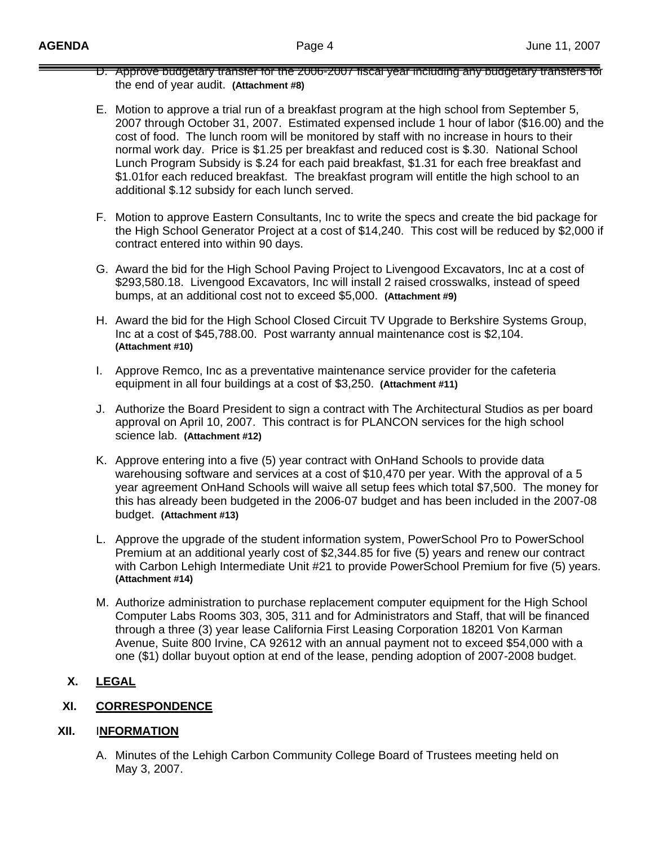- D. Approve budgetary transfer for the 2006-2007 fiscal year including any budgetary transfers for the end of year audit. **(Attachment #8)**
- E. Motion to approve a trial run of a breakfast program at the high school from September 5, 2007 through October 31, 2007. Estimated expensed include 1 hour of labor (\$16.00) and the cost of food. The lunch room will be monitored by staff with no increase in hours to their normal work day. Price is \$1.25 per breakfast and reduced cost is \$.30. National School Lunch Program Subsidy is \$.24 for each paid breakfast, \$1.31 for each free breakfast and \$1.01for each reduced breakfast. The breakfast program will entitle the high school to an additional \$.12 subsidy for each lunch served.
- F. Motion to approve Eastern Consultants, Inc to write the specs and create the bid package for the High School Generator Project at a cost of \$14,240. This cost will be reduced by \$2,000 if contract entered into within 90 days.
- G. Award the bid for the High School Paving Project to Livengood Excavators, Inc at a cost of \$293,580.18. Livengood Excavators, Inc will install 2 raised crosswalks, instead of speed bumps, at an additional cost not to exceed \$5,000. **(Attachment #9)**
- H. Award the bid for the High School Closed Circuit TV Upgrade to Berkshire Systems Group, Inc at a cost of \$45,788.00. Post warranty annual maintenance cost is \$2,104.  **(Attachment #10)**
- I. Approve Remco, Inc as a preventative maintenance service provider for the cafeteria equipment in all four buildings at a cost of \$3,250. **(Attachment #11)**
- J. Authorize the Board President to sign a contract with The Architectural Studios as per board approval on April 10, 2007. This contract is for PLANCON services for the high school science lab. **(Attachment #12)**
- K. Approve entering into a five (5) year contract with OnHand Schools to provide data warehousing software and services at a cost of \$10,470 per year. With the approval of a 5 year agreement OnHand Schools will waive all setup fees which total \$7,500. The money for this has already been budgeted in the 2006-07 budget and has been included in the 2007-08 budget. **(Attachment #13)**
- L. Approve the upgrade of the student information system, PowerSchool Pro to PowerSchool Premium at an additional yearly cost of \$2,344.85 for five (5) years and renew our contract with Carbon Lehigh Intermediate Unit #21 to provide PowerSchool Premium for five (5) years. **(Attachment #14)**
- M. Authorize administration to purchase replacement computer equipment for the High School Computer Labs Rooms 303, 305, 311 and for Administrators and Staff, that will be financed through a three (3) year lease California First Leasing Corporation 18201 Von Karman Avenue, Suite 800 Irvine, CA 92612 with an annual payment not to exceed \$54,000 with a one (\$1) dollar buyout option at end of the lease, pending adoption of 2007-2008 budget.

# **X. LEGAL**

# **XI. CORRESPONDENCE**

## **XII.** I**NFORMATION**

A. Minutes of the Lehigh Carbon Community College Board of Trustees meeting held on May 3, 2007.